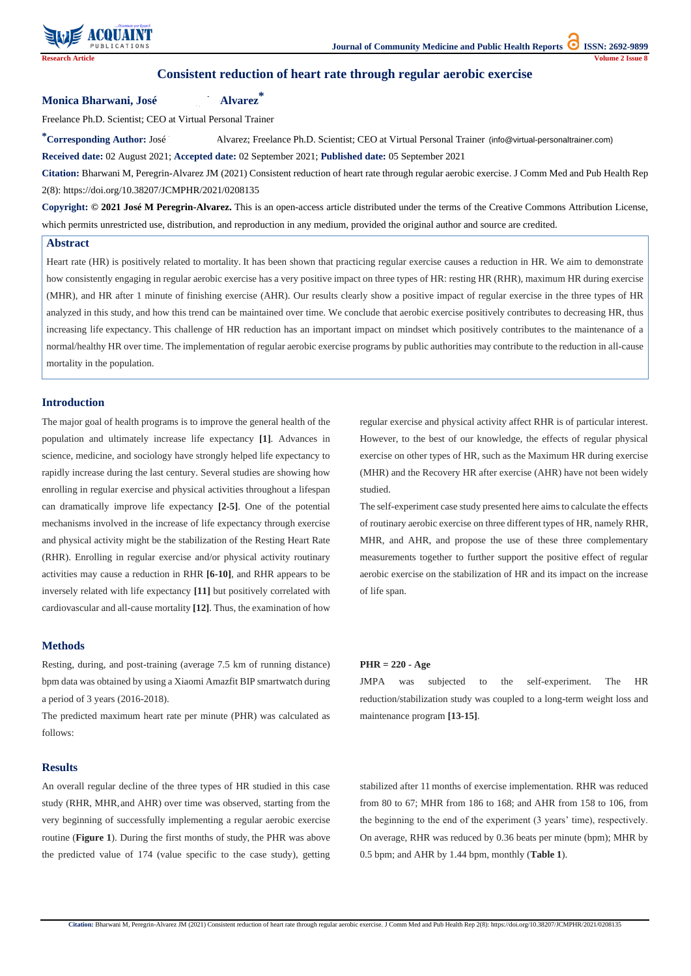**Citation:** Bharwani M, Peregrin-Alvarez JM (2021) Consistent reduction of heart rate through regular aerobic exercise. J Comm Med and Pub Health Rep 2(8): https://doi.org/10.38207/JCMPHR/2021/0208135



# **Consistent reduction of heart rate through regular aerobic exercise**

\*Corresponding Author: José Malvarez; Freelance Ph.D. Scientist; CEO at Virtual Personal Trainer (info@virtual-personaltrainer.com) **Received date:** 02 August 2021; **Accepted date:** 02 September 2021; **Published date:** 05 September 2021

**Monica Bharwani, José Mariel Alvarez\*** 

Freelance Ph.D. Scientist; CEO at Virtual Personal Trainer

**Citation:** Bharwani M, Peregrin-Alvarez JM (2021) Consistent reduction of heart rate through regular aerobic exercise. J Comm Med and Pub Health Rep 2(8): https://doi.org/10.38207/JCMPHR/2021/0208135

**Copyright: © 2021 José M Peregrin-Alvarez.** This is an open-access article distributed under the terms of the Creative Commons Attribution License, which permits unrestricted use, distribution, and reproduction in any medium, provided the original author and source are credited.

### **Abstract**

Heart rate (HR) is positively related to mortality. It has been shown that practicing regular exercise causes a reduction in HR. We aim to demonstrate how consistently engaging in regular aerobic exercise has a very positive impact on three types of HR: resting HR (RHR), maximum HR during exercise (MHR), and HR after 1 minute of finishing exercise (AHR). Our results clearly show a positive impact of regular exercise in the three types of HR analyzed in this study, and how this trend can be maintained over time. We conclude that aerobic exercise positively contributes to decreasing HR, thus increasing life expectancy. This challenge of HR reduction has an important impact on mindset which positively contributes to the maintenance of a normal/healthy HR over time. The implementation of regular aerobic exercise programs by public authorities may contribute to the reduction in all-cause mortality in the population.

# **Introduction**

The major goal of health programs is to improve the general health of the population and ultimately increase life expectancy **[1]**. Advances in science, medicine, and sociology have strongly helped life expectancy to rapidly increase during the last century. Several studies are showing how enrolling in regular exercise and physical activities throughout a lifespan can dramatically improve life expectancy **[2-5]**. One of the potential mechanisms involved in the increase of life expectancy through exercise and physical activity might be the stabilization of the Resting Heart Rate (RHR). Enrolling in regular exercise and/or physical activity routinary activities may cause a reduction in RHR **[6-10]**, and RHR appears to be inversely related with life expectancy **[11]** but positively correlated with cardiovascular and all-cause mortality **[12]**. Thus, the examination of how

regular exercise and physical activity affect RHR is of particular interest. However, to the best of our knowledge, the effects of regular physical exercise on other types of HR, such as the Maximum HR during exercise (MHR) and the Recovery HR after exercise (AHR) have not been widely studied.

The self-experiment case study presented here aims to calculate the effects of routinary aerobic exercise on three different types of HR, namely RHR, MHR, and AHR, and propose the use of these three complementary measurements together to further support the positive effect of regular aerobic exercise on the stabilization of HR and its impact on the increase of life span.

# **Methods**

Resting, during, and post-training (average 7.5 km of running distance) bpm data was obtained by using a Xiaomi Amazfit BIP smartwatch during a period of 3 years (2016-2018).

The predicted maximum heart rate per minute (PHR) was calculated as follows:

#### **PHR = 220 - Age**

JMPA was subjected to the self-experiment. The HR reduction/stabilization study was coupled to a long-term weight loss and maintenance program **[13-15]**.

### **Results**

An overall regular decline of the three types of HR studied in this case study (RHR, MHR,and AHR) over time was observed, starting from the very beginning of successfully implementing a regular aerobic exercise routine (**Figure 1**). During the first months of study, the PHR was above the predicted value of 174 (value specific to the case study), getting

stabilized after 11 months of exercise implementation. RHR was reduced from 80 to 67; MHR from 186 to 168; and AHR from 158 to 106, from the beginning to the end of the experiment (3 years' time), respectively. On average, RHR was reduced by 0.36 beats per minute (bpm); MHR by 0.5 bpm; and AHR by 1.44 bpm, monthly (**Table 1**).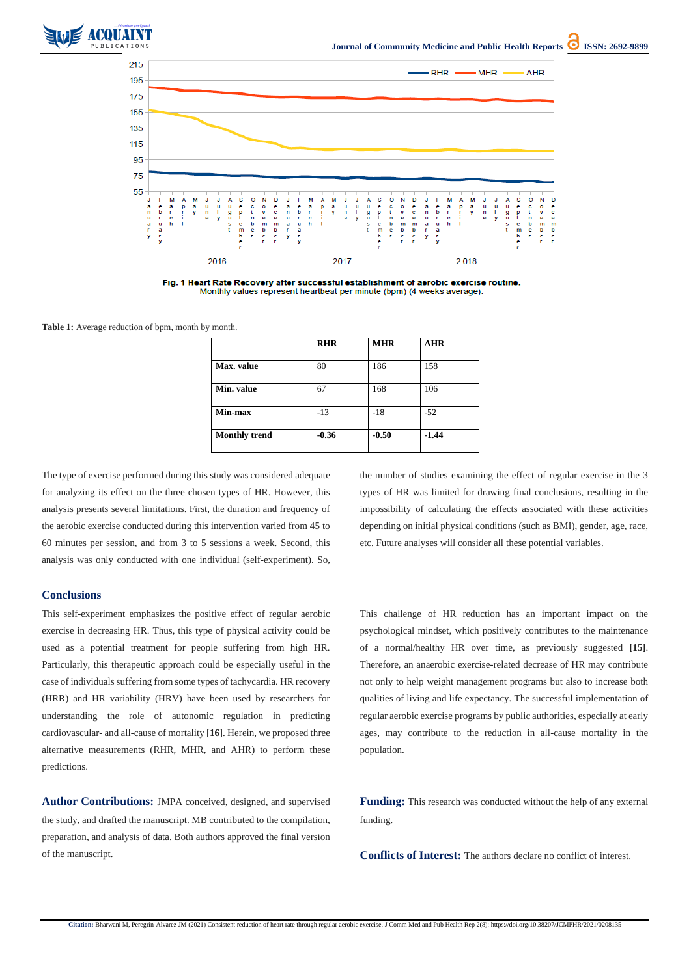



Fig. 1 Heart Rate Recovery after successful establishment of aerobic exercise routine. Monthly values represent heartbeat per minute (bpm) (4 weeks average).

**Citation:** Bharwani M, Peregrin-Alvarez JM (2021) Consistent reduction of heart rate through regular aerobic exercise. J Comm Med and Pub Health Rep 2(8): https://doi.org/10.38207/JCMPHR/2021/0208135

**Table 1:** Average reduction of bpm, month by month.

|                      | <b>RHR</b> | <b>MHR</b> | <b>AHR</b> |
|----------------------|------------|------------|------------|
| Max. value           | 80         | 186        | 158        |
| Min. value           | 67         | 168        | 106        |
| Min-max              | $-13$      | $-18$      | $-52$      |
| <b>Monthly trend</b> | $-0.36$    | $-0.50$    | $-1.44$    |

The type of exercise performed during this study was considered adequate for analyzing its effect on the three chosen types of HR. However, this analysis presents several limitations. First, the duration and frequency of the aerobic exercise conducted during this intervention varied from 45 to 60 minutes per session, and from 3 to 5 sessions a week. Second, this analysis was only conducted with one individual (self-experiment). So, the number of studies examining the effect of regular exercise in the 3 types of HR was limited for drawing final conclusions, resulting in the impossibility of calculating the effects associated with these activities depending on initial physical conditions (such as BMI), gender, age, race, etc. Future analyses will consider all these potential variables.

## **Conclusions**

**Funding:** This research was conducted without the help of any external funding.

This self-experiment emphasizes the positive effect of regular aerobic exercise in decreasing HR. Thus, this type of physical activity could be used as a potential treatment for people suffering from high HR. Particularly, this therapeutic approach could be especially useful in the case of individuals suffering from some types of tachycardia. HR recovery (HRR) and HR variability (HRV) have been used by researchers for understanding the role of autonomic regulation in predicting cardiovascular- and all-cause of mortality **[16]**. Herein, we proposed three

alternative measurements (RHR, MHR, and AHR) to perform these predictions. population.

This challenge of HR reduction has an important impact on the psychological mindset, which positively contributes to the maintenance of a normal/healthy HR over time, as previously suggested **[15]**. Therefore, an anaerobic exercise-related decrease of HR may contribute not only to help weight management programs but also to increase both qualities of living and life expectancy. The successful implementation of regular aerobic exercise programs by public authorities, especially at early ages, may contribute to the reduction in all-cause mortality in the

**Author Contributions:** JMPA conceived, designed, and supervised the study, and drafted the manuscript. MB contributed to the compilation, preparation, and analysis of data. Both authors approved the final version of the manuscript.

**Conflicts of Interest:** The authors declare no conflict of interest.